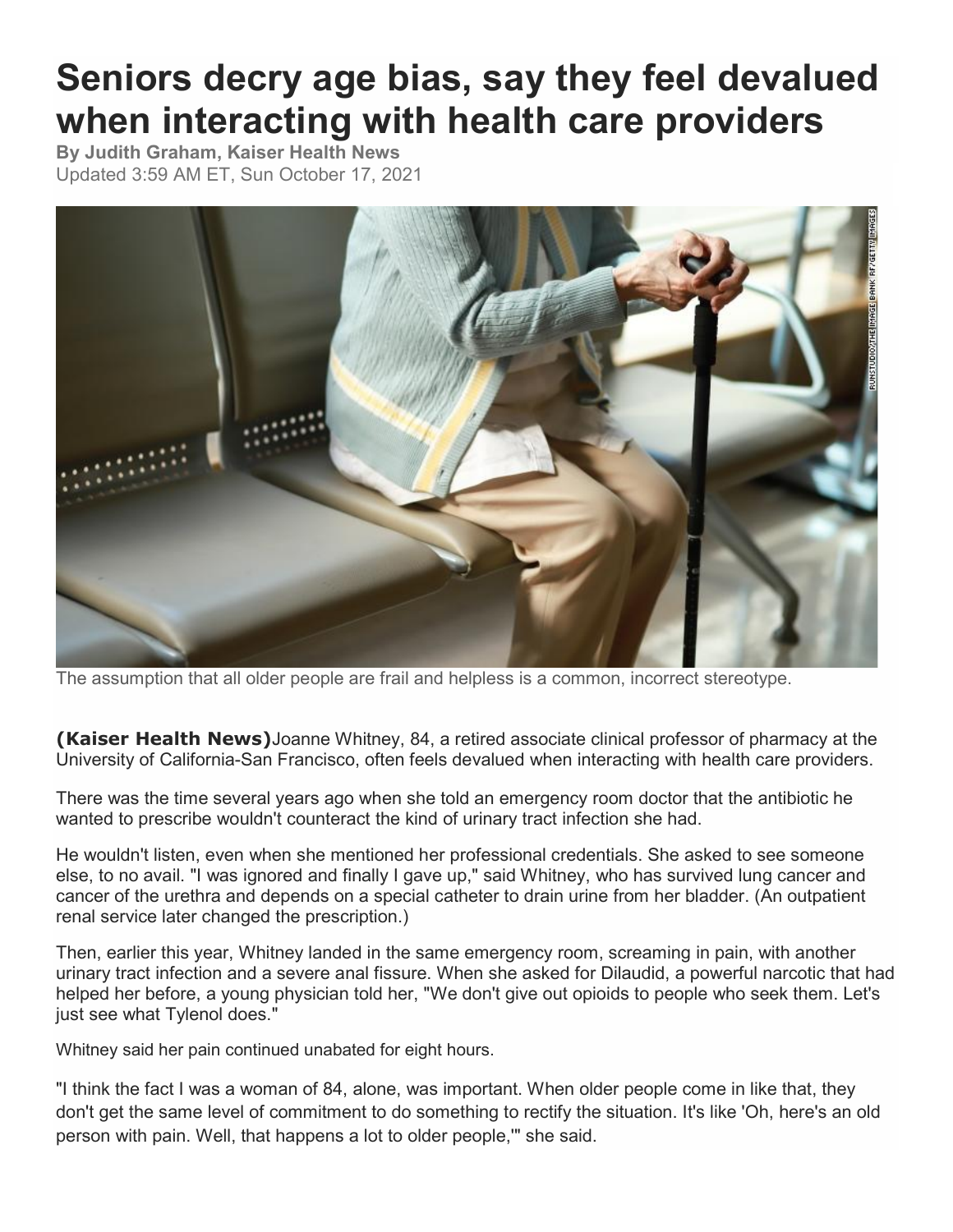## Seniors decry age bias, say they feel devalued when interacting with health care providers

By Judith Graham, Kaiser Health News Updated 3:59 AM ET, Sun October 17, 2021



The assumption that all older people are frail and helpless is a common, incorrect stereotype.

**(Kaiser Health News)**Joanne Whitney, 84, a retired associate clinical professor of pharmacy at the University of California-San Francisco, often feels devalued when interacting with health care providers.

There was the time several years ago when she told an emergency room doctor that the antibiotic he wanted to prescribe wouldn't counteract the kind of urinary tract infection she had.

He wouldn't listen, even when she mentioned her professional credentials. She asked to see someone else, to no avail. "I was ignored and finally I gave up," said Whitney, who has survived lung cancer and cancer of the urethra and depends on a special catheter to drain urine from her bladder. (An outpatient renal service later changed the prescription.)

Then, earlier this year, Whitney landed in the same emergency room, screaming in pain, with another urinary tract infection and a severe anal fissure. When she asked for Dilaudid, a powerful narcotic that had helped her before, a young physician told her, "We don't give out opioids to people who seek them. Let's just see what Tylenol does."

Whitney said her pain continued unabated for eight hours.

"I think the fact I was a woman of 84, alone, was important. When older people come in like that, they don't get the same level of commitment to do something to rectify the situation. It's like 'Oh, here's an old person with pain. Well, that happens a lot to older people,'" she said.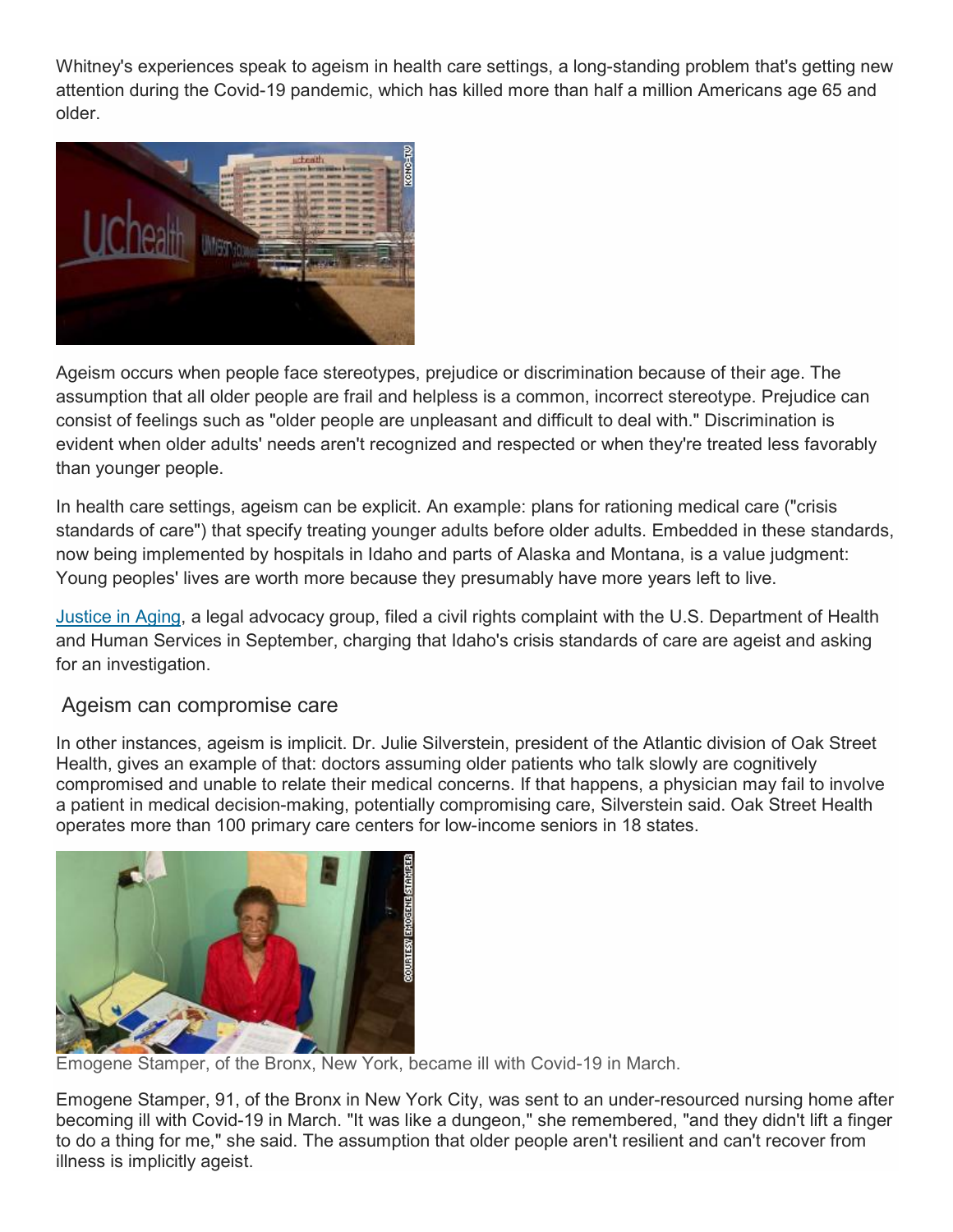Whitney's experiences speak to ageism in health care settings, a long-standing problem that's getting new attention during the Covid-19 pandemic, which has killed more than half a million Americans age 65 and older.



Ageism occurs when people face stereotypes, prejudice or discrimination because of their age. The assumption that all older people are frail and helpless is a common, incorrect stereotype. Prejudice can consist of feelings such as "older people are unpleasant and difficult to deal with." Discrimination is evident when older adults' needs aren't recognized and respected or when they're treated less favorably than younger people.

In health care settings, ageism can be explicit. An example: plans for rationing medical care ("crisis standards of care") that specify treating younger adults before older adults. Embedded in these standards, now being implemented by hospitals in Idaho and parts of Alaska and Montana, is a value judgment: Young peoples' lives are worth more because they presumably have more years left to live.

Justice in Aging, a legal advocacy group, filed a civil rights complaint with the U.S. Department of Health and Human Services in September, charging that Idaho's crisis standards of care are ageist and asking for an investigation.

## Ageism can compromise care

In other instances, ageism is implicit. Dr. Julie Silverstein, president of the Atlantic division of Oak Street Health, gives an example of that: doctors assuming older patients who talk slowly are cognitively compromised and unable to relate their medical concerns. If that happens, a physician may fail to involve a patient in medical decision-making, potentially compromising care, Silverstein said. Oak Street Health operates more than 100 primary care centers for low-income seniors in 18 states.



Emogene Stamper, of the Bronx, New York, became ill with Covid-19 in March.

Emogene Stamper, 91, of the Bronx in New York City, was sent to an under-resourced nursing home after becoming ill with Covid-19 in March. "It was like a dungeon," she remembered, "and they didn't lift a finger to do a thing for me," she said. The assumption that older people aren't resilient and can't recover from illness is implicitly ageist.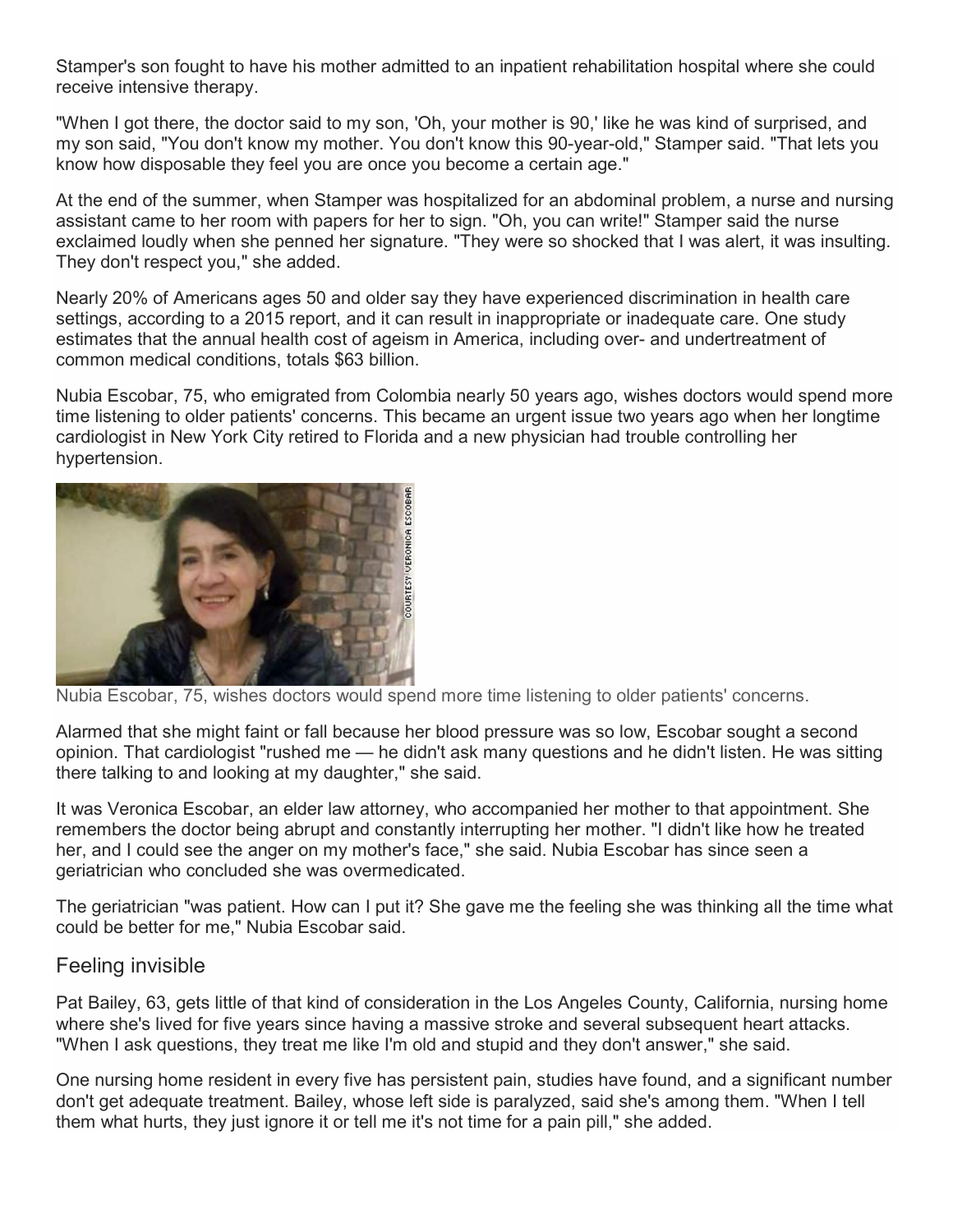Stamper's son fought to have his mother admitted to an inpatient rehabilitation hospital where she could receive intensive therapy.

"When I got there, the doctor said to my son, 'Oh, your mother is 90,' like he was kind of surprised, and my son said, "You don't know my mother. You don't know this 90-year-old," Stamper said. "That lets you know how disposable they feel you are once you become a certain age."

At the end of the summer, when Stamper was hospitalized for an abdominal problem, a nurse and nursing assistant came to her room with papers for her to sign. "Oh, you can write!" Stamper said the nurse exclaimed loudly when she penned her signature. "They were so shocked that I was alert, it was insulting. They don't respect you," she added.

Nearly 20% of Americans ages 50 and older say they have experienced discrimination in health care settings, according to a 2015 report, and it can result in inappropriate or inadequate care. One study estimates that the annual health cost of ageism in America, including over- and undertreatment of common medical conditions, totals \$63 billion.

Nubia Escobar, 75, who emigrated from Colombia nearly 50 years ago, wishes doctors would spend more time listening to older patients' concerns. This became an urgent issue two years ago when her longtime cardiologist in New York City retired to Florida and a new physician had trouble controlling her hypertension.



Nubia Escobar, 75, wishes doctors would spend more time listening to older patients' concerns.

Alarmed that she might faint or fall because her blood pressure was so low, Escobar sought a second opinion. That cardiologist "rushed me — he didn't ask many questions and he didn't listen. He was sitting there talking to and looking at my daughter," she said.

It was Veronica Escobar, an elder law attorney, who accompanied her mother to that appointment. She remembers the doctor being abrupt and constantly interrupting her mother. "I didn't like how he treated her, and I could see the anger on my mother's face," she said. Nubia Escobar has since seen a geriatrician who concluded she was overmedicated.

The geriatrician "was patient. How can I put it? She gave me the feeling she was thinking all the time what could be better for me," Nubia Escobar said.

## Feeling invisible

Pat Bailey, 63, gets little of that kind of consideration in the Los Angeles County, California, nursing home where she's lived for five years since having a massive stroke and several subsequent heart attacks. "When I ask questions, they treat me like I'm old and stupid and they don't answer," she said.

One nursing home resident in every five has persistent pain, studies have found, and a significant number don't get adequate treatment. Bailey, whose left side is paralyzed, said she's among them. "When I tell them what hurts, they just ignore it or tell me it's not time for a pain pill," she added.